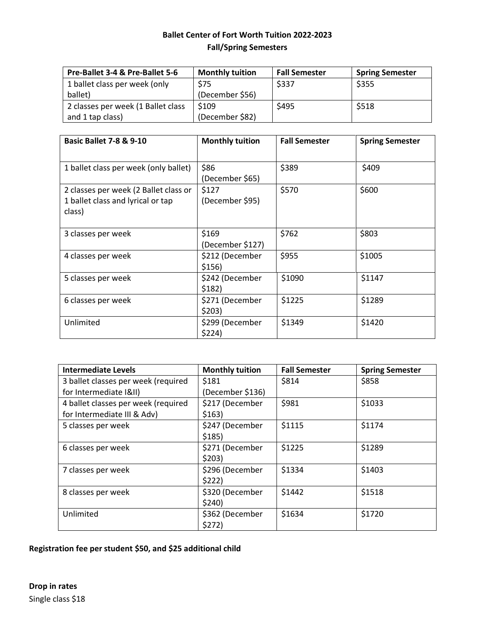## **Ballet Center of Fort Worth Tuition 2022-2023 Fall/Spring Semesters**

| Pre-Ballet 3-4 & Pre-Ballet 5-6    | <b>Monthly tuition</b> | <b>Fall Semester</b> | <b>Spring Semester</b> |
|------------------------------------|------------------------|----------------------|------------------------|
| 1 ballet class per week (only      | \$75                   | \$337                | \$355                  |
| ballet)                            | (December \$56)        |                      |                        |
| 2 classes per week (1 Ballet class | \$109                  | \$495                | \$518                  |
| and 1 tap class)                   | (December \$82)        |                      |                        |

| <b>Basic Ballet 7-8 &amp; 9-10</b>                                                   | <b>Monthly tuition</b>    | <b>Fall Semester</b> | <b>Spring Semester</b> |
|--------------------------------------------------------------------------------------|---------------------------|----------------------|------------------------|
| 1 ballet class per week (only ballet)                                                | \$86<br>(December \$65)   | \$389                | \$409                  |
| 2 classes per week (2 Ballet class or<br>1 ballet class and lyrical or tap<br>class) | \$127<br>(December \$95)  | \$570                | \$600                  |
| 3 classes per week                                                                   | \$169<br>(December \$127) | \$762                | \$803                  |
| 4 classes per week                                                                   | \$212 (December<br>\$156) | \$955                | \$1005                 |
| 5 classes per week                                                                   | \$242 (December<br>\$182) | \$1090               | \$1147                 |
| 6 classes per week                                                                   | \$271 (December<br>\$203) | \$1225               | \$1289                 |
| Unlimited                                                                            | \$299 (December<br>\$224) | \$1349               | \$1420                 |

| <b>Intermediate Levels</b>          | <b>Monthly tuition</b> | <b>Fall Semester</b> | <b>Spring Semester</b> |
|-------------------------------------|------------------------|----------------------|------------------------|
| 3 ballet classes per week (required | \$181                  | \$814                | \$858                  |
| for Intermediate (&II)              | (December \$136)       |                      |                        |
| 4 ballet classes per week (required | \$217 (December        | \$981                | \$1033                 |
| for Intermediate III & Adv)         | \$163)                 |                      |                        |
| 5 classes per week                  | \$247 (December        | \$1115               | \$1174                 |
|                                     | \$185)                 |                      |                        |
| 6 classes per week                  | \$271 (December        | \$1225               | \$1289                 |
|                                     | \$203)                 |                      |                        |
| 7 classes per week                  | \$296 (December        | \$1334               | \$1403                 |
|                                     | \$222)                 |                      |                        |
| 8 classes per week                  | \$320 (December        | \$1442               | \$1518                 |
|                                     | \$240)                 |                      |                        |
| Unlimited                           | \$362 (December        | \$1634               | \$1720                 |
|                                     | \$272)                 |                      |                        |

## **Registration fee per student \$50, and \$25 additional child**

**Drop in rates** Single class \$18